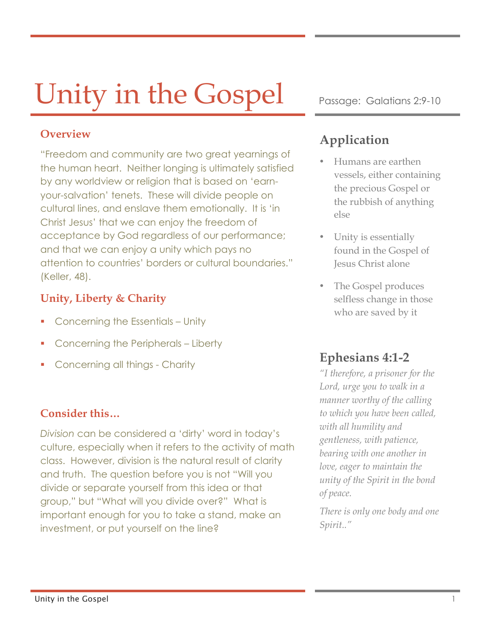# Unity in the Gospel Passage: Galatians 2:9-10

#### **Overview**

"Freedom and community are two great yearnings of the human heart. Neither longing is ultimately satisfied by any worldview or religion that is based on 'earnyour-salvation' tenets. These will divide people on cultural lines, and enslave them emotionally. It is 'in Christ Jesus' that we can enjoy the freedom of acceptance by God regardless of our performance; and that we can enjoy a unity which pays no attention to countries' borders or cultural boundaries." (Keller, 48).

#### **Unity, Liberty & Charity**

- § Concerning the Essentials Unity
- **Concerning the Peripherals Liberty**
- § Concerning all things Charity

#### **Consider this…**

*Division* can be considered a 'dirty' word in today's culture, especially when it refers to the activity of math class. However, division is the natural result of clarity and truth. The question before you is not "Will you divide or separate yourself from this idea or that group," but "What will you divide over?" What is important enough for you to take a stand, make an investment, or put yourself on the line?

## **Application**

- Humans are earthen vessels, either containing the precious Gospel or the rubbish of anything else
- Unity is essentially found in the Gospel of Jesus Christ alone
- The Gospel produces selfless change in those who are saved by it

### **Ephesians 4:1-2**

*"I therefore, a prisoner for the Lord, urge you to walk in a manner worthy of the calling to which you have been called, with all humility and gentleness, with patience, bearing with one another in love, eager to maintain the unity of the Spirit in the bond of peace.*

*There is only one body and one Spirit.."*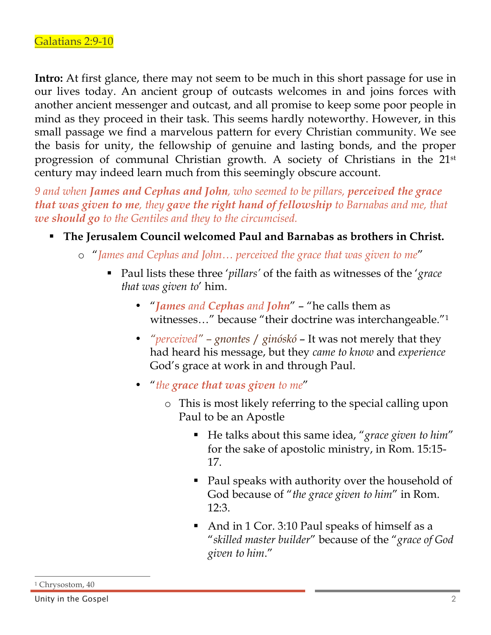**Intro:** At first glance, there may not seem to be much in this short passage for use in our lives today. An ancient group of outcasts welcomes in and joins forces with another ancient messenger and outcast, and all promise to keep some poor people in mind as they proceed in their task. This seems hardly noteworthy. However, in this small passage we find a marvelous pattern for every Christian community. We see the basis for unity, the fellowship of genuine and lasting bonds, and the proper progression of communal Christian growth. A society of Christians in the 21st century may indeed learn much from this seemingly obscure account.

*9 and when James and Cephas and John, who seemed to be pillars, perceived the grace that was given to me, they gave the right hand of fellowship to Barnabas and me, that we should go to the Gentiles and they to the circumcised.* 

- § **The Jerusalem Council welcomed Paul and Barnabas as brothers in Christ.**
	- o "*James and Cephas and John… perceived the grace that was given to me*"
		- Paul lists these three '*pillars'* of the faith as witnesses of the '*grace that was given to*' him.
			- "*James and Cephas and John*" "he calls them as witnesses..." because "their doctrine was interchangeable."<sup>1</sup>
			- *"perceived" – gnontes* / *ginóskó* It was not merely that they had heard his message, but they *came to know* and *experience* God's grace at work in and through Paul.
			- "*the grace that was given to me*"
				- o This is most likely referring to the special calling upon Paul to be an Apostle
					- § He talks about this same idea, "*grace given to him*" for the sake of apostolic ministry, in Rom. 15:15- 17.
					- Paul speaks with authority over the household of God because of "*the grace given to him*" in Rom. 12:3.
					- And in 1 Cor. 3:10 Paul speaks of himself as a "*skilled master builder*" because of the "*grace of God given to him*."

 $\overline{a}$ 

<sup>&</sup>lt;sup>1</sup> Chrysostom, 40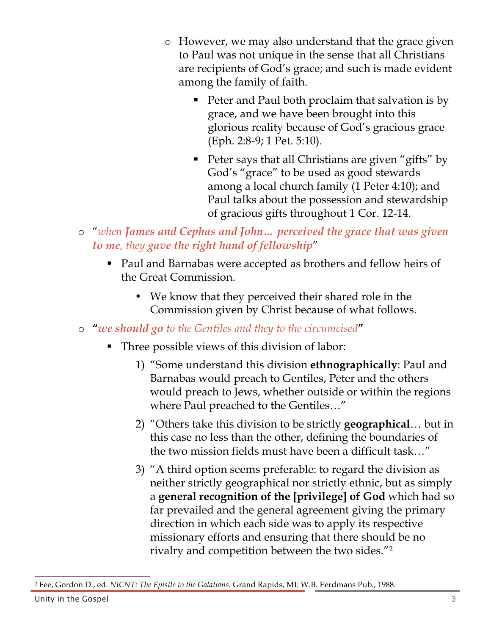- o However, we may also understand that the grace given to Paul was not unique in the sense that all Christians are recipients of God's grace; and such is made evident among the family of faith.
	- Peter and Paul both proclaim that salvation is by grace, and we have been brought into this glorious reality because of God's gracious grace (Eph. 2:8-9; 1 Pet. 5:10).
	- Peter says that all Christians are given "gifts" by God's "grace" to be used as good stewards among a local church family (1 Peter 4:10); and Paul talks about the possession and stewardship of gracious gifts throughout 1 Cor. 12-14.
- o "*when James and Cephas and John… perceived the grace that was given to me, they gave the right hand of fellowship*"
	- Paul and Barnabas were accepted as brothers and fellow heirs of the Great Commission.
		- We know that they perceived their shared role in the Commission given by Christ because of what follows.
- o **"***we should go to the Gentiles and they to the circumcised***"**
	- Three possible views of this division of labor:
		- 1) "Some understand this division **ethnographically**: Paul and Barnabas would preach to Gentiles, Peter and the others would preach to Jews, whether outside or within the regions where Paul preached to the Gentiles…"
		- 2) "Others take this division to be strictly **geographical**… but in this case no less than the other, defining the boundaries of the two mission fields must have been a difficult task…"
		- 3) "A third option seems preferable: to regard the division as neither strictly geographical nor strictly ethnic, but as simply a **general recognition of the [privilege] of God** which had so far prevailed and the general agreement giving the primary direction in which each side was to apply its respective missionary efforts and ensuring that there should be no rivalry and competition between the two sides."2

 $\overline{a}$ <sup>2</sup> Fee, Gordon D., ed. *NICNT: The Epistle to the Galatians*. Grand Rapids, MI: W.B. Eerdmans Pub., 1988.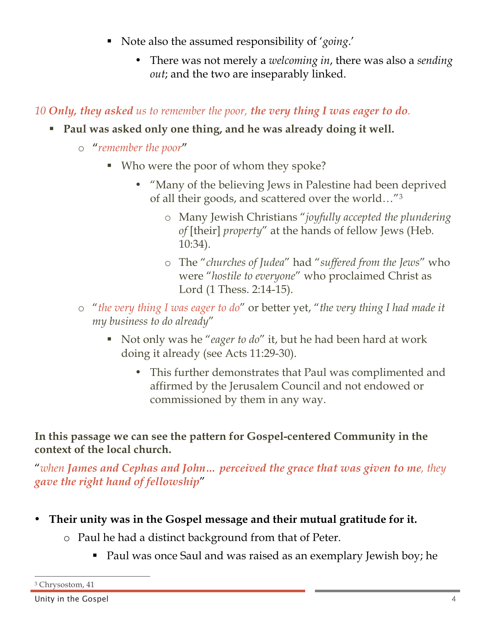- § Note also the assumed responsibility of '*going*.'
	- There was not merely a *welcoming in*, there was also a *sending out*; and the two are inseparably linked.

#### *10 Only, they asked us to remember the poor, the very thing I was eager to do.*

- § **Paul was asked only one thing, and he was already doing it well.**
	- o **"***remember the poor***"**
		- Who were the poor of whom they spoke?
			- "Many of the believing Jews in Palestine had been deprived of all their goods, and scattered over the world…"3
				- o Many Jewish Christians "*joyfully accepted the plundering of* [their] *property*" at the hands of fellow Jews (Heb. 10:34).
				- o The "*churches of Judea*" had "*suffered from the Jews*" who were "*hostile to everyone*" who proclaimed Christ as Lord (1 Thess. 2:14-15).
	- o "*the very thing I was eager to do*" or better yet, "*the very thing I had made it my business to do already*"
		- § Not only was he "*eager to do*" it, but he had been hard at work doing it already (see Acts 11:29-30).
			- This further demonstrates that Paul was complimented and affirmed by the Jerusalem Council and not endowed or commissioned by them in any way.

**In this passage we can see the pattern for Gospel-centered Community in the context of the local church.**

"*when James and Cephas and John… perceived the grace that was given to me, they gave the right hand of fellowship*"

- **Their unity was in the Gospel message and their mutual gratitude for it.**
	- o Paul he had a distinct background from that of Peter.
		- Paul was once Saul and was raised as an exemplary Jewish boy; he

 $\overline{a}$ 

<sup>3</sup> Chrysostom, 41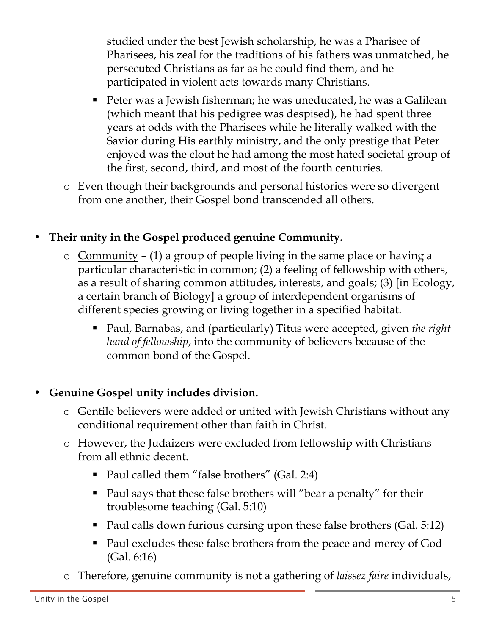studied under the best Jewish scholarship, he was a Pharisee of Pharisees, his zeal for the traditions of his fathers was unmatched, he persecuted Christians as far as he could find them, and he participated in violent acts towards many Christians.

- Peter was a Jewish fisherman; he was uneducated, he was a Galilean (which meant that his pedigree was despised), he had spent three years at odds with the Pharisees while he literally walked with the Savior during His earthly ministry, and the only prestige that Peter enjoyed was the clout he had among the most hated societal group of the first, second, third, and most of the fourth centuries.
- o Even though their backgrounds and personal histories were so divergent from one another, their Gospel bond transcended all others.

## • **Their unity in the Gospel produced genuine Community.**

- o Community (1) a group of people living in the same place or having a particular characteristic in common; (2) a feeling of fellowship with others, as a result of sharing common attitudes, interests, and goals; (3) [in Ecology, a certain branch of Biology] a group of interdependent organisms of different species growing or living together in a specified habitat.
	- Paul, Barnabas, and (particularly) Titus were accepted, given *the right hand of fellowship*, into the community of believers because of the common bond of the Gospel.

#### • **Genuine Gospel unity includes division.**

- o Gentile believers were added or united with Jewish Christians without any conditional requirement other than faith in Christ.
- o However, the Judaizers were excluded from fellowship with Christians from all ethnic decent.
	- Paul called them "false brothers" (Gal. 2:4)
	- Paul says that these false brothers will "bear a penalty" for their troublesome teaching (Gal. 5:10)
	- Paul calls down furious cursing upon these false brothers (Gal. 5:12)
	- Paul excludes these false brothers from the peace and mercy of God (Gal. 6:16)
- o Therefore, genuine community is not a gathering of *laissez faire* individuals,